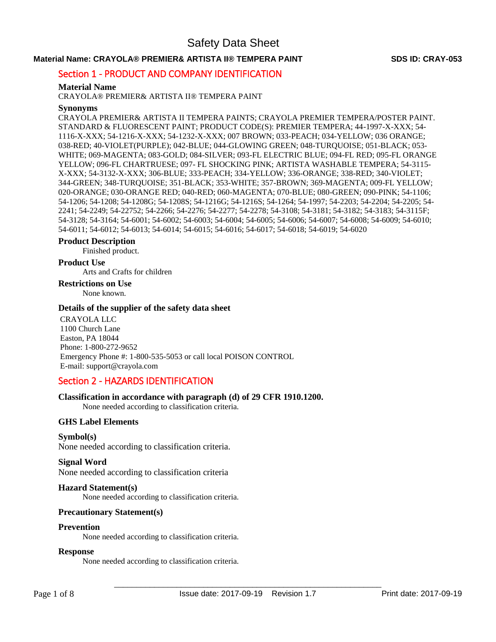## **Material Name: CRAYOLA® PREMIER& ARTISTA II® TEMPERA PAINT SDS ID: CRAY-053**

## Section 1 - PRODUCT AND COMPANY IDENTIFICATION

### **Material Name**

CRAYOLA® PREMIER& ARTISTA II® TEMPERA PAINT

### **Synonyms**

CRAYOLA PREMIER& ARTISTA II TEMPERA PAINTS; CRAYOLA PREMIER TEMPERA/POSTER PAINT. STANDARD & FLUORESCENT PAINT; PRODUCT CODE(S): PREMIER TEMPERA; 44-1997-X-XXX; 54- 1116-X-XXX; 54-1216-X-XXX; 54-1232-X-XXX; 007 BROWN; 033-PEACH; 034-YELLOW; 036 ORANGE; 038-RED; 40-VIOLET(PURPLE); 042-BLUE; 044-GLOWING GREEN; 048-TURQUOISE; 051-BLACK; 053- WHITE; 069-MAGENTA; 083-GOLD; 084-SILVER; 093-FL ELECTRIC BLUE; 094-FL RED; 095-FL ORANGE YELLOW; 096-FL CHARTRUESE; 097- FL SHOCKING PINK; ARTISTA WASHABLE TEMPERA; 54-3115- X-XXX; 54-3132-X-XXX; 306-BLUE; 333-PEACH; 334-YELLOW; 336-ORANGE; 338-RED; 340-VIOLET; 344-GREEN; 348-TURQUOISE; 351-BLACK; 353-WHITE; 357-BROWN; 369-MAGENTA; 009-FL YELLOW; 020-ORANGE; 030-ORANGE RED; 040-RED; 060-MAGENTA; 070-BLUE; 080-GREEN; 090-PINK; 54-1106; 54-1206; 54-1208; 54-1208G; 54-1208S; 54-1216G; 54-1216S; 54-1264; 54-1997; 54-2203; 54-2204; 54-2205; 54- 2241; 54-2249; 54-22752; 54-2266; 54-2276; 54-2277; 54-2278; 54-3108; 54-3181; 54-3182; 54-3183; 54-3115F; 54-3128; 54-3164; 54-6001; 54-6002; 54-6003; 54-6004; 54-6005; 54-6006; 54-6007; 54-6008; 54-6009; 54-6010; 54-6011; 54-6012; 54-6013; 54-6014; 54-6015; 54-6016; 54-6017; 54-6018; 54-6019; 54-6020

# **Product Description**

Finished product.

## **Product Use**

Arts and Crafts for children

#### **Restrictions on Use**

None known.

#### **Details of the supplier of the safety data sheet**

CRAYOLA LLC 1100 Church Lane Easton, PA 18044 Phone: 1-800-272-9652 Emergency Phone #: 1-800-535-5053 or call local POISON CONTROL E-mail: support@crayola.com

## Section 2 - HAZARDS IDENTIFICATION

## **Classification in accordance with paragraph (d) of 29 CFR 1910.1200.**

None needed according to classification criteria.

## **GHS Label Elements**

**Symbol(s)** 

None needed according to classification criteria.

## **Signal Word**

None needed according to classification criteria

## **Hazard Statement(s)**

None needed according to classification criteria.

## **Precautionary Statement(s)**

#### **Prevention**

None needed according to classification criteria.

#### **Response**

None needed according to classification criteria.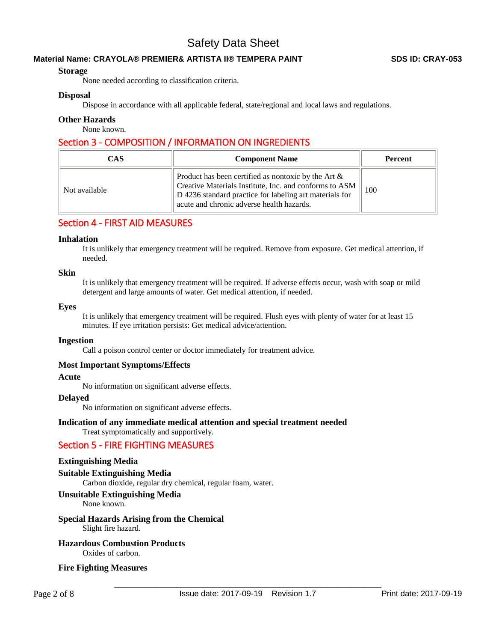## **Material Name: CRAYOLA® PREMIER& ARTISTA II® TEMPERA PAINT SDS ID: CRAY-053**

## **Storage**

None needed according to classification criteria.

## **Disposal**

Dispose in accordance with all applicable federal, state/regional and local laws and regulations.

## **Other Hazards**

None known.

## Section 3 - COMPOSITION / INFORMATION ON INGREDIENTS

| <b>CAS</b>    | <b>Component Name</b>                                                                                                                                                                                                    | <b>Percent</b> |  |  |
|---------------|--------------------------------------------------------------------------------------------------------------------------------------------------------------------------------------------------------------------------|----------------|--|--|
| Not available | Product has been certified as nontoxic by the Art $\&$<br>Creative Materials Institute, Inc. and conforms to ASM<br>D 4236 standard practice for labeling art materials for<br>acute and chronic adverse health hazards. | 100            |  |  |

## Section 4 - FIRST AID MEASURES

#### **Inhalation**

It is unlikely that emergency treatment will be required. Remove from exposure. Get medical attention, if needed.

#### **Skin**

It is unlikely that emergency treatment will be required. If adverse effects occur, wash with soap or mild detergent and large amounts of water. Get medical attention, if needed.

#### **Eyes**

It is unlikely that emergency treatment will be required. Flush eyes with plenty of water for at least 15 minutes. If eye irritation persists: Get medical advice/attention.

#### **Ingestion**

Call a poison control center or doctor immediately for treatment advice.

## **Most Important Symptoms/Effects**

#### **Acute**

No information on significant adverse effects.

### **Delayed**

No information on significant adverse effects.

## **Indication of any immediate medical attention and special treatment needed**

Treat symptomatically and supportively.

## Section 5 - FIRE FIGHTING MEASURES

## **Extinguishing Media**

## **Suitable Extinguishing Media**

Carbon dioxide, regular dry chemical, regular foam, water.

## **Unsuitable Extinguishing Media**

None known.

## **Special Hazards Arising from the Chemical**

Slight fire hazard.

# **Hazardous Combustion Products**

Oxides of carbon.

## **Fire Fighting Measures**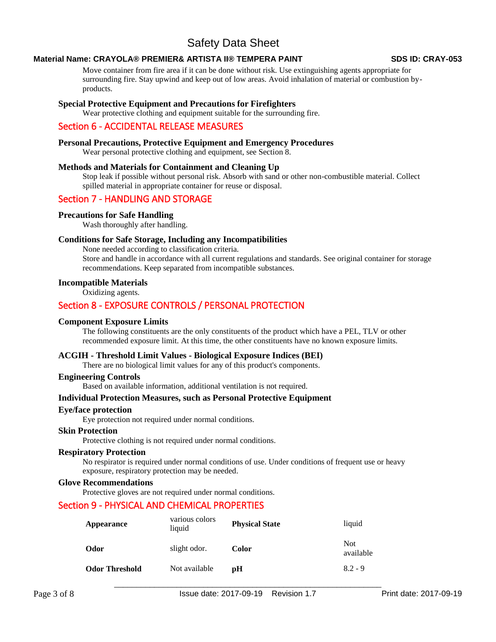## **Material Name: CRAYOLA® PREMIER& ARTISTA II® TEMPERA PAINT SDS ID: CRAY-053**

Move container from fire area if it can be done without risk. Use extinguishing agents appropriate for surrounding fire. Stay upwind and keep out of low areas. Avoid inhalation of material or combustion byproducts.

## **Special Protective Equipment and Precautions for Firefighters**

Wear protective clothing and equipment suitable for the surrounding fire.

## Section 6 - ACCIDENTAL RELEASE MEASURES

### **Personal Precautions, Protective Equipment and Emergency Procedures**

Wear personal protective clothing and equipment, see Section 8.

#### **Methods and Materials for Containment and Cleaning Up**

Stop leak if possible without personal risk. Absorb with sand or other non-combustible material. Collect spilled material in appropriate container for reuse or disposal.

## Section 7 - HANDLING AND STORAGE

## **Precautions for Safe Handling**

Wash thoroughly after handling.

#### **Conditions for Safe Storage, Including any Incompatibilities**

None needed according to classification criteria. Store and handle in accordance with all current regulations and standards. See original container for storage recommendations. Keep separated from incompatible substances.

## **Incompatible Materials**

Oxidizing agents.

## Section 8 - EXPOSURE CONTROLS / PERSONAL PROTECTION

#### **Component Exposure Limits**

The following constituents are the only constituents of the product which have a PEL, TLV or other recommended exposure limit. At this time, the other constituents have no known exposure limits.

## **ACGIH - Threshold Limit Values - Biological Exposure Indices (BEI)**

There are no biological limit values for any of this product's components.

#### **Engineering Controls**

Based on available information, additional ventilation is not required.

#### **Individual Protection Measures, such as Personal Protective Equipment**

#### **Eye/face protection**

Eye protection not required under normal conditions.

#### **Skin Protection**

Protective clothing is not required under normal conditions.

#### **Respiratory Protection**

No respirator is required under normal conditions of use. Under conditions of frequent use or heavy exposure, respiratory protection may be needed.

#### **Glove Recommendations**

Protective gloves are not required under normal conditions.

## Section 9 - PHYSICAL AND CHEMICAL PROPERTIES

| Appearance            | various colors<br>liquid | <b>Physical State</b> | liquid            |  |  |
|-----------------------|--------------------------|-----------------------|-------------------|--|--|
| Odor                  | slight odor.             | Color                 | Not.<br>available |  |  |
| <b>Odor Threshold</b> | Not available            | рH                    | $8.2 - 9$         |  |  |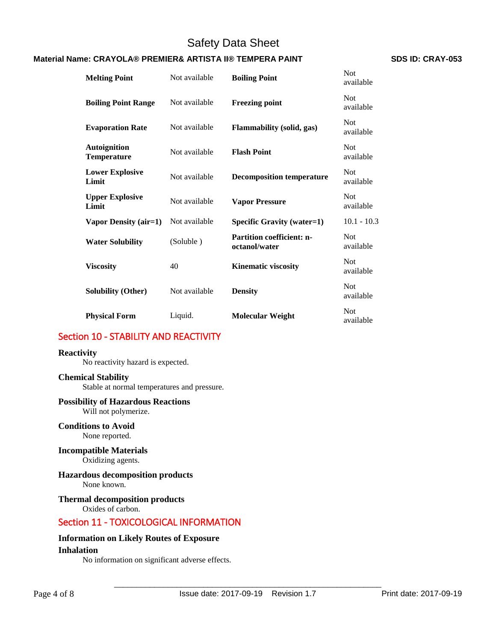## **Material Name: CRAYOLA® PREMIER& ARTISTA II® TEMPERA PAINT SDS ID: CRAY-053**

| <b>Melting Point</b>                      | Not available | <b>Boiling Point</b>                              | <b>Not</b><br>available |  |
|-------------------------------------------|---------------|---------------------------------------------------|-------------------------|--|
| <b>Boiling Point Range</b>                | Not available | <b>Freezing point</b>                             | <b>Not</b><br>available |  |
| <b>Evaporation Rate</b>                   | Not available | <b>Flammability</b> (solid, gas)                  | <b>Not</b><br>available |  |
| <b>Autoignition</b><br><b>Temperature</b> | Not available | <b>Flash Point</b>                                | <b>Not</b><br>available |  |
| <b>Lower Explosive</b><br>Limit           | Not available | <b>Decomposition temperature</b>                  | <b>Not</b><br>available |  |
| <b>Upper Explosive</b><br>Limit           | Not available | <b>Vapor Pressure</b>                             | <b>Not</b><br>available |  |
| Vapor Density (air=1)                     | Not available | <b>Specific Gravity (water=1)</b>                 | $10.1 - 10.3$           |  |
| <b>Water Solubility</b>                   | (Soluble)     | <b>Partition coefficient: n-</b><br>octanol/water | <b>Not</b><br>available |  |
| <b>Viscosity</b>                          | 40            | <b>Kinematic viscosity</b>                        | <b>Not</b><br>available |  |
| <b>Solubility (Other)</b>                 | Not available | <b>Density</b>                                    | <b>Not</b><br>available |  |
| <b>Physical Form</b>                      | Liquid.       | <b>Molecular Weight</b>                           | <b>Not</b><br>available |  |

## Section 10 - STABILITY AND REACTIVITY

## **Reactivity**

No reactivity hazard is expected.

## **Chemical Stability**

Stable at normal temperatures and pressure.

## **Possibility of Hazardous Reactions**

Will not polymerize.

**Conditions to Avoid** None reported.

## **Incompatible Materials**

Oxidizing agents.

## **Hazardous decomposition products**

None known.

## **Thermal decomposition products**

Oxides of carbon.

## Section 11 - TOXICOLOGICAL INFORMATION

## **Information on Likely Routes of Exposure Inhalation**

No information on significant adverse effects.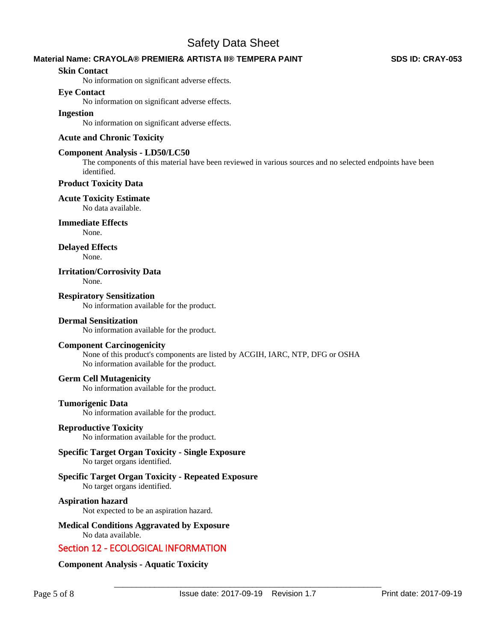## **Material Name: CRAYOLA® PREMIER& ARTISTA II® TEMPERA PAINT SDS ID: CRAY-053**

### **Skin Contact**

No information on significant adverse effects.

### **Eye Contact**

No information on significant adverse effects.

## **Ingestion**

No information on significant adverse effects.

## **Acute and Chronic Toxicity**

### **Component Analysis - LD50/LC50**

The components of this material have been reviewed in various sources and no selected endpoints have been identified.

## **Product Toxicity Data**

## **Acute Toxicity Estimate**

No data available.

## **Immediate Effects**

None.

# **Delayed Effects**

None.

## **Irritation/Corrosivity Data**

None.

## **Respiratory Sensitization**

No information available for the product.

### **Dermal Sensitization**

No information available for the product.

## **Component Carcinogenicity**

None of this product's components are listed by ACGIH, IARC, NTP, DFG or OSHA No information available for the product.

## **Germ Cell Mutagenicity**

No information available for the product.

## **Tumorigenic Data**

No information available for the product.

## **Reproductive Toxicity**

No information available for the product.

#### **Specific Target Organ Toxicity - Single Exposure**  No target organs identified.

#### **Specific Target Organ Toxicity - Repeated Exposure**  No target organs identified.

## **Aspiration hazard**

Not expected to be an aspiration hazard.

**Medical Conditions Aggravated by Exposure** No data available.

## Section 12 - ECOLOGICAL INFORMATION

## **Component Analysis - Aquatic Toxicity**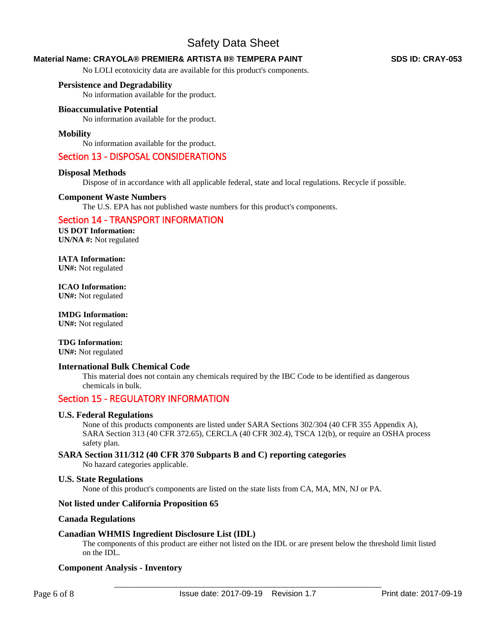## **Material Name: CRAYOLA® PREMIER& ARTISTA II® TEMPERA PAINT SDS ID: CRAY-053**

No LOLI ecotoxicity data are available for this product's components.

## **Persistence and Degradability**

No information available for the product.

## **Bioaccumulative Potential**

No information available for the product.

## **Mobility**

No information available for the product.

## Section 13 - DISPOSAL CONSIDERATIONS

#### **Disposal Methods**

Dispose of in accordance with all applicable federal, state and local regulations. Recycle if possible.

#### **Component Waste Numbers**

The U.S. EPA has not published waste numbers for this product's components.

## Section 14 - TRANSPORT INFORMATION

**US DOT Information: UN/NA #:** Not regulated

**IATA Information: UN#:** Not regulated

**ICAO Information: UN#:** Not regulated

**IMDG Information: UN#:** Not regulated

## **TDG Information:**

**UN#:** Not regulated

## **International Bulk Chemical Code**

This material does not contain any chemicals required by the IBC Code to be identified as dangerous chemicals in bulk.

## Section 15 - REGULATORY INFORMATION

#### **U.S. Federal Regulations**

None of this products components are listed under SARA Sections 302/304 (40 CFR 355 Appendix A), SARA Section 313 (40 CFR 372.65), CERCLA (40 CFR 302.4), TSCA 12(b), or require an OSHA process safety plan.

## **SARA Section 311/312 (40 CFR 370 Subparts B and C) reporting categories**

No hazard categories applicable.

## **U.S. State Regulations**

None of this product's components are listed on the state lists from CA, MA, MN, NJ or PA.

## **Not listed under California Proposition 65**

#### **Canada Regulations**

#### **Canadian WHMIS Ingredient Disclosure List (IDL)**

The components of this product are either not listed on the IDL or are present below the threshold limit listed on the IDL.

## **Component Analysis - Inventory**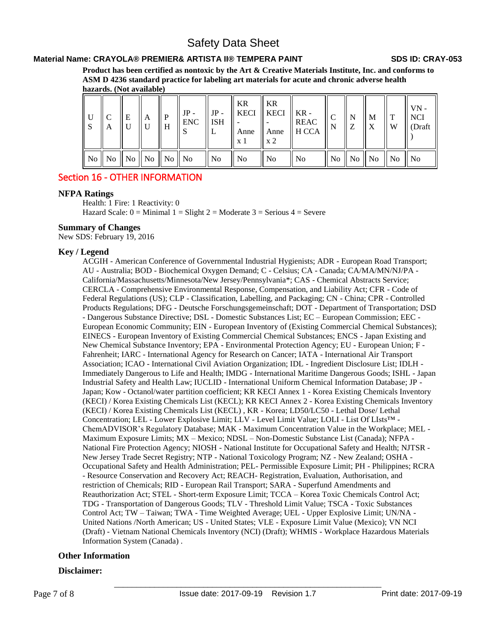## **Material Name: CRAYOLA® PREMIER& ARTISTA II® TEMPERA PAINT SDS ID: CRAY-053**

**Product has been certified as nontoxic by the Art & Creative Materials Institute, Inc. and conforms to ASM D 4236 standard practice for labeling art materials for acute and chronic adverse health hazards. (Not available)**

| $\overline{\mathsf{U}}$<br>$\mathsf{S}$ | A | E | A                                | $\mathbf{P}$<br>l H | $JP -$<br><b>ENC</b> | JP -<br>$\parallel$ ISH | KR<br>x 1      | $\parallel$ KR<br>$\parallel$ KECI $\parallel$ KECI $\parallel$ KR -<br>x 2 | <b>REAC</b><br>Anne $\parallel$ Anne $\parallel$ H CCA | N | $\mathbf{M}$<br>X                                           | $\parallel$ T<br>W | $VN -$<br>NCI<br>(Draft |
|-----------------------------------------|---|---|----------------------------------|---------------------|----------------------|-------------------------|----------------|-----------------------------------------------------------------------------|--------------------------------------------------------|---|-------------------------------------------------------------|--------------------|-------------------------|
|                                         |   |   | No    No    No    No    No    No |                     |                      | $\parallel$ No          | N <sub>0</sub> | $\overline{N}$                                                              | No                                                     |   | $\parallel$ No $\parallel$ No $\parallel$ No $\parallel$ No |                    | ll No                   |

## Section 16 - OTHER INFORMATION

## **NFPA Ratings**

Health: 1 Fire: 1 Reactivity: 0 Hazard Scale:  $0 =$  Minimal  $1 =$  Slight  $2 =$  Moderate  $3 =$  Serious  $4 =$  Severe

## **Summary of Changes**

New SDS: February 19, 2016

## **Key / Legend**

ACGIH - American Conference of Governmental Industrial Hygienists; ADR - European Road Transport; AU - Australia; BOD - Biochemical Oxygen Demand; C - Celsius; CA - Canada; CA/MA/MN/NJ/PA - California/Massachusetts/Minnesota/New Jersey/Pennsylvania\*; CAS - Chemical Abstracts Service; CERCLA - Comprehensive Environmental Response, Compensation, and Liability Act; CFR - Code of Federal Regulations (US); CLP - Classification, Labelling, and Packaging; CN - China; CPR - Controlled Products Regulations; DFG - Deutsche Forschungsgemeinschaft; DOT - Department of Transportation; DSD - Dangerous Substance Directive; DSL - Domestic Substances List; EC – European Commission; EEC - European Economic Community; EIN - European Inventory of (Existing Commercial Chemical Substances); EINECS - European Inventory of Existing Commercial Chemical Substances; ENCS - Japan Existing and New Chemical Substance Inventory; EPA - Environmental Protection Agency; EU - European Union; F - Fahrenheit; IARC - International Agency for Research on Cancer; IATA - International Air Transport Association; ICAO - International Civil Aviation Organization; IDL - Ingredient Disclosure List; IDLH - Immediately Dangerous to Life and Health; IMDG - International Maritime Dangerous Goods; ISHL - Japan Industrial Safety and Health Law; IUCLID - International Uniform Chemical Information Database; JP - Japan; Kow - Octanol/water partition coefficient; KR KECI Annex 1 - Korea Existing Chemicals Inventory (KECI) / Korea Existing Chemicals List (KECL); KR KECI Annex 2 - Korea Existing Chemicals Inventory (KECI) / Korea Existing Chemicals List (KECL) , KR - Korea; LD50/LC50 - Lethal Dose/ Lethal Concentration; LEL - Lower Explosive Limit; LLV - Level Limit Value; LOLI - List Of LIsts™ - ChemADVISOR's Regulatory Database; MAK - Maximum Concentration Value in the Workplace; MEL - Maximum Exposure Limits; MX – Mexico; NDSL – Non-Domestic Substance List (Canada); NFPA - National Fire Protection Agency; NIOSH - National Institute for Occupational Safety and Health; NJTSR - New Jersey Trade Secret Registry; NTP - National Toxicology Program; NZ - New Zealand; OSHA - Occupational Safety and Health Administration; PEL- Permissible Exposure Limit; PH - Philippines; RCRA - Resource Conservation and Recovery Act; REACH- Registration, Evaluation, Authorisation, and restriction of Chemicals; RID - European Rail Transport; SARA - Superfund Amendments and Reauthorization Act; STEL - Short-term Exposure Limit; TCCA – Korea Toxic Chemicals Control Act; TDG - Transportation of Dangerous Goods; TLV - Threshold Limit Value; TSCA - Toxic Substances Control Act; TW – Taiwan; TWA - Time Weighted Average; UEL - Upper Explosive Limit; UN/NA - United Nations /North American; US - United States; VLE - Exposure Limit Value (Mexico); VN NCI (Draft) - Vietnam National Chemicals Inventory (NCI) (Draft); WHMIS - Workplace Hazardous Materials Information System (Canada) .

## **Other Information**

## **Disclaimer:**